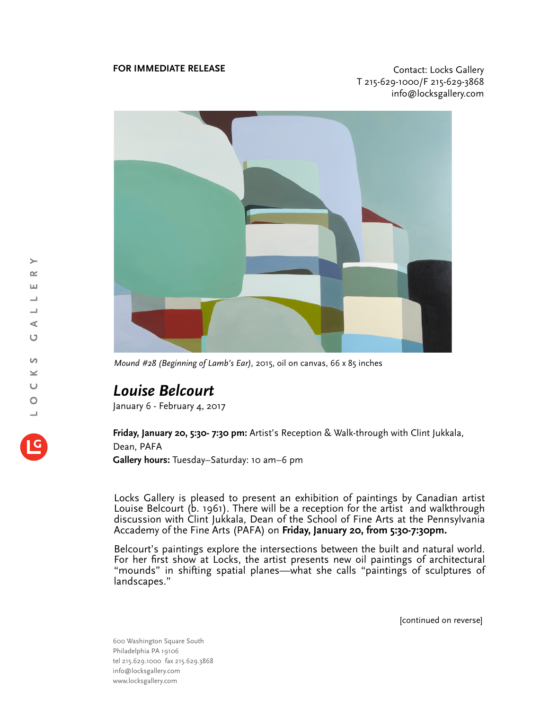## **FOR IMMEDIATE RELEASE CONTACT EXECUTES CONTACT CONTACT CONTACT CONTACT**

T 215-629-1000/F 215-629-3868 info@locksgallery.com



*Mound #28 (Beginning of Lamb's Ear),* 2015, oil on canvas, 66 x 85 inches

## *Louise Belcourt*

January 6 - February 4, 2017

**Friday, January 20, 5:30- 7:30 pm:** Artist's Reception & Walk-through with Clint Jukkala, Dean, PAFA **Gallery hours:** Tuesday–Saturday: 10 am–6 pm

Locks Gallery is pleased to present an exhibition of paintings by Canadian artist Louise Belcourt (b. 1961). There will be a reception for the artist and walkthrough discussion with Clint Jukkala, Dean of the School of Fine Arts at the Pennsylvania Accademy of the Fine Arts (PAFA) on **Friday, January 20, from 5:30-7:30pm.**

Belcourt's paintings explore the intersections between the built and natural world. For her first show at Locks, the artist presents new oil paintings of architectural "mounds" in shifting spatial planes—what she calls "paintings of sculptures of landscapes."

[continued on reverse]

600 Washington Square South Philadelphia PA 19106 tel 215.629.1000 fax 215.629.3868 info@locksgallery.com www.locksgallery.com

 $\rightarrow$